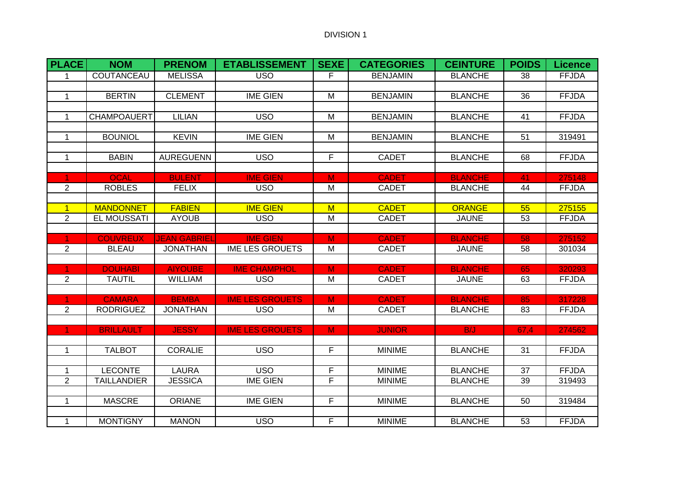| <b>PLACE</b>                   | <b>NOM</b>         | <b>PRENOM</b>                 | <b>ETABLISSEMENT</b>   | SEXE                    | <b>CATEGORIES</b> | <b>CEINTURE</b>               | <b>POIDS</b> | <b>Licence</b>         |
|--------------------------------|--------------------|-------------------------------|------------------------|-------------------------|-------------------|-------------------------------|--------------|------------------------|
| $\mathbf 1$                    | COUTANCEAU         | <b>MELISSA</b>                | <b>USO</b>             | F                       | <b>BENJAMIN</b>   | <b>BLANCHE</b>                | 38           | <b>FFJDA</b>           |
|                                |                    |                               |                        |                         |                   |                               |              |                        |
| $\mathbf 1$                    | <b>BERTIN</b>      | <b>CLEMENT</b>                | <b>IME GIEN</b>        | M                       | <b>BENJAMIN</b>   | <b>BLANCHE</b>                | 36           | <b>FFJDA</b>           |
|                                |                    |                               |                        |                         |                   |                               |              |                        |
| $\mathbf{1}$                   | <b>CHAMPOAUERT</b> | <b>LILIAN</b>                 | <b>USO</b>             | M                       | <b>BENJAMIN</b>   | <b>BLANCHE</b>                | 41           | <b>FFJDA</b>           |
| $\mathbf 1$                    | <b>BOUNIOL</b>     | <b>KEVIN</b>                  | <b>IME GIEN</b>        | M                       | <b>BENJAMIN</b>   | <b>BLANCHE</b>                | 51           | 319491                 |
|                                |                    |                               |                        |                         |                   |                               |              |                        |
| $\mathbf{1}$                   | <b>BABIN</b>       | <b>AUREGUENN</b>              | <b>USO</b>             | F                       | <b>CADET</b>      | <b>BLANCHE</b>                | 68           | <b>FFJDA</b>           |
|                                |                    |                               |                        |                         |                   |                               |              |                        |
| 1.                             | <b>OCAL</b>        | <b>BULENT</b>                 | <b>IME GIEN</b>        | M                       | <b>CADET</b>      | <b>BLANCHE</b>                | 41           | 275148                 |
| $\overline{2}$                 | <b>ROBLES</b>      | <b>FELIX</b>                  | <b>USO</b>             | M                       | <b>CADET</b>      | <b>BLANCHE</b>                | 44           | <b>FFJDA</b>           |
|                                | <b>MANDONNET</b>   |                               | <b>IME GIEN</b>        |                         | <b>CADET</b>      |                               |              |                        |
| $\mathbf{1}$<br>$\overline{2}$ | EL MOUSSATI        | <b>FABIEN</b><br><b>AYOUB</b> | <b>USO</b>             | $\mathsf{M}$<br>M       | <b>CADET</b>      | <b>ORANGE</b><br><b>JAUNE</b> | 55<br>53     | 275155<br><b>FFJDA</b> |
|                                |                    |                               |                        |                         |                   |                               |              |                        |
| $\blacktriangleleft$           | <b>COUVREUX</b>    | <b>JEAN GABRIEL</b>           | <b>IME GIEN</b>        | $\overline{M}$          | <b>CADET</b>      | <b>BLANCHE</b>                | 58           | 275152                 |
| 2                              | <b>BLEAU</b>       | <b>JONATHAN</b>               | <b>IME LES GROUETS</b> | $\overline{\mathsf{M}}$ | <b>CADET</b>      | <b>JAUNE</b>                  | 58           | 301034                 |
|                                |                    |                               |                        |                         |                   |                               |              |                        |
| $\overline{1}$                 | <b>DOUHABI</b>     | <b>AIYOUBE</b>                | <b>IME CHAMPHOL</b>    | $\overline{\mathsf{M}}$ | <b>CADET</b>      | <b>BLANCHE</b>                | 65           | 320293                 |
| $\overline{2}$                 | <b>TAUTIL</b>      | <b>WILLIAM</b>                | <b>USO</b>             | $\overline{M}$          | <b>CADET</b>      | <b>JAUNE</b>                  | 63           | <b>FFJDA</b>           |
|                                | <b>CAMARA</b>      | <b>BEMBA</b>                  | <b>IME LES GROUETS</b> | $\overline{\mathsf{M}}$ | <b>CADET</b>      | <b>BLANCHE</b>                | 85           | 317228                 |
| 2                              | <b>RODRIGUEZ</b>   | <b>JONATHAN</b>               | <b>USO</b>             | M                       | <b>CADET</b>      | <b>BLANCHE</b>                | 83           | <b>FFJDA</b>           |
|                                |                    |                               |                        |                         |                   |                               |              |                        |
| $\blacktriangleleft$           | <b>BRILLAULT</b>   | <b>JESSY</b>                  | <b>IME LES GROUETS</b> | $\overline{M}$          | <b>JUNIOR</b>     | B/J                           | 67.4         | 274562                 |
|                                |                    |                               |                        |                         |                   |                               |              |                        |
| $\mathbf{1}$                   | <b>TALBOT</b>      | <b>CORALIE</b>                | <b>USO</b>             | F                       | <b>MINIME</b>     | <b>BLANCHE</b>                | 31           | <b>FFJDA</b>           |
|                                |                    |                               |                        |                         |                   |                               |              |                        |
| $\mathbf 1$                    | <b>LECONTE</b>     | <b>LAURA</b>                  | <b>USO</b>             | F                       | <b>MINIME</b>     | <b>BLANCHE</b>                | 37           | <b>FFJDA</b>           |
| 2                              | <b>TAILLANDIER</b> | <b>JESSICA</b>                | <b>IME GIEN</b>        | F                       | <b>MINIME</b>     | <b>BLANCHE</b>                | 39           | 319493                 |
| $\mathbf{1}$                   | <b>MASCRE</b>      | <b>ORIANE</b>                 | <b>IME GIEN</b>        | F                       | <b>MINIME</b>     | <b>BLANCHE</b>                | 50           | 319484                 |
|                                |                    |                               |                        |                         |                   |                               |              |                        |
| $\mathbf{1}$                   | <b>MONTIGNY</b>    | <b>MANON</b>                  | <b>USO</b>             | F                       | <b>MINIME</b>     | <b>BLANCHE</b>                | 53           | <b>FFJDA</b>           |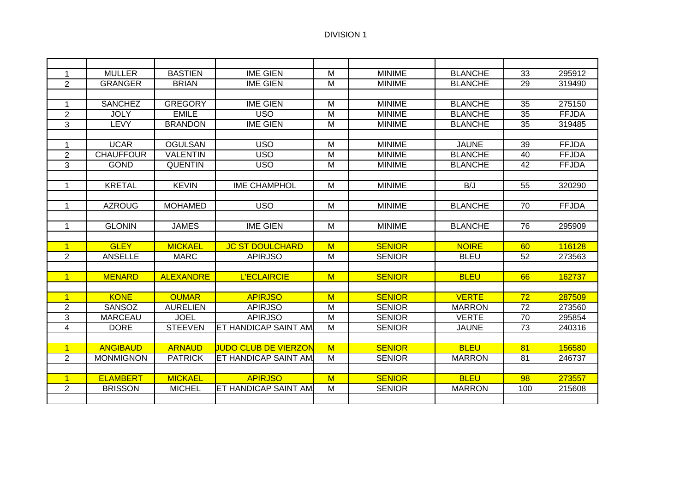| $\mathbf 1$    | <b>MULLER</b>    | <b>BASTIEN</b>   | <b>IME GIEN</b>              | M                       | <b>MINIME</b> | <b>BLANCHE</b> | 33              | 295912       |
|----------------|------------------|------------------|------------------------------|-------------------------|---------------|----------------|-----------------|--------------|
| 2              | <b>GRANGER</b>   | <b>BRIAN</b>     | <b>IME GIEN</b>              | M                       | <b>MINIME</b> | <b>BLANCHE</b> | 29              | 319490       |
|                |                  |                  |                              |                         |               |                |                 |              |
| 1              | <b>SANCHEZ</b>   | <b>GREGORY</b>   | <b>IME GIEN</b>              | M                       | <b>MINIME</b> | <b>BLANCHE</b> | 35              | 275150       |
| $\overline{2}$ | <b>JOLY</b>      | <b>EMILE</b>     | <b>USO</b>                   | M                       | <b>MINIME</b> | <b>BLANCHE</b> | 35              | <b>FFJDA</b> |
| 3              | LEVY             | <b>BRANDON</b>   | <b>IME GIEN</b>              | M                       | <b>MINIME</b> | <b>BLANCHE</b> | 35              | 319485       |
|                |                  |                  |                              |                         |               |                |                 |              |
| 1              | <b>UCAR</b>      | <b>OGULSAN</b>   | <b>USO</b>                   | M                       | <b>MINIME</b> | <b>JAUNE</b>   | 39              | <b>FFJDA</b> |
| $\overline{2}$ | <b>CHAUFFOUR</b> | <b>VALENTIN</b>  | <b>USO</b>                   | $\overline{M}$          | <b>MINIME</b> | <b>BLANCHE</b> | 40              | <b>FFJDA</b> |
| 3              | <b>GOND</b>      | <b>QUENTIN</b>   | <b>USO</b>                   | M                       | <b>MINIME</b> | <b>BLANCHE</b> | 42              | <b>FFJDA</b> |
|                |                  |                  |                              |                         |               |                |                 |              |
| 1              | <b>KRETAL</b>    | <b>KEVIN</b>     | <b>IME CHAMPHOL</b>          | M                       | <b>MINIME</b> | B/J            | 55              | 320290       |
|                |                  |                  |                              |                         |               |                |                 |              |
| $\mathbf{1}$   | <b>AZROUG</b>    | <b>MOHAMED</b>   | <b>USO</b>                   | M                       | <b>MINIME</b> | <b>BLANCHE</b> | 70              | <b>FFJDA</b> |
|                |                  |                  |                              |                         |               |                |                 |              |
| $\mathbf{1}$   | <b>GLONIN</b>    | <b>JAMES</b>     | <b>IME GIEN</b>              | M                       | <b>MINIME</b> | <b>BLANCHE</b> | 76              | 295909       |
|                |                  |                  |                              |                         |               |                |                 |              |
| $\overline{1}$ | <b>GLEY</b>      | <b>MICKAEL</b>   | <b>JC ST DOULCHARD</b>       | M                       | <b>SENIOR</b> | <b>NOIRE</b>   | 60              | 116128       |
| $\overline{2}$ | <b>ANSELLE</b>   | <b>MARC</b>      | <b>APIRJSO</b>               | M                       | <b>SENIOR</b> | <b>BLEU</b>    | 52              | 273563       |
|                |                  |                  |                              |                         |               |                |                 |              |
| $\mathbf{1}$   | <b>MENARD</b>    | <b>ALEXANDRE</b> | <b>L'ECLAIRCIE</b>           | M                       | <b>SENIOR</b> | <b>BLEU</b>    | 66              | 162737       |
|                |                  |                  |                              |                         |               |                |                 |              |
| $\mathbf{1}$   | <b>KONE</b>      | <b>OUMAR</b>     | <b>APIRJSO</b>               | M                       | <b>SENIOR</b> | <b>VERTE</b>   | $\overline{72}$ | 287509       |
| $\overline{2}$ | <b>SANSOZ</b>    | <b>AURELIEN</b>  | <b>APIRJSO</b>               | M                       | <b>SENIOR</b> | <b>MARRON</b>  | 72              | 273560       |
| 3              | <b>MARCEAU</b>   | <b>JOEL</b>      | <b>APIRJSO</b>               | M                       | <b>SENIOR</b> | <b>VERTE</b>   | 70              | 295854       |
| $\overline{4}$ | <b>DORE</b>      | <b>STEEVEN</b>   | <b>IET HANDICAP SAINT AM</b> | M                       | <b>SENIOR</b> | <b>JAUNE</b>   | 73              | 240316       |
|                |                  |                  |                              |                         |               |                |                 |              |
| $\overline{1}$ | <b>ANGIBAUD</b>  | <b>ARNAUD</b>    | UUDO CLUB DE VIERZON         | M                       | <b>SENIOR</b> | <b>BLEU</b>    | 81              | 156580       |
| $\overline{2}$ | <b>MONMIGNON</b> | <b>PATRICK</b>   | <b>IET HANDICAP SAINT AM</b> | $\overline{M}$          | <b>SENIOR</b> | <b>MARRON</b>  | 81              | 246737       |
|                |                  |                  |                              |                         |               |                |                 |              |
| $\mathbf{1}$   | <b>ELAMBERT</b>  | <b>MICKAEL</b>   | <b>APIRJSO</b>               | $\overline{\mathsf{M}}$ | <b>SENIOR</b> | <b>BLEU</b>    | 98              | 273557       |
| 2              | <b>BRISSON</b>   | <b>MICHEL</b>    | <b>IET HANDICAP SAINT AM</b> | M                       | <b>SENIOR</b> | <b>MARRON</b>  | 100             | 215608       |
|                |                  |                  |                              |                         |               |                |                 |              |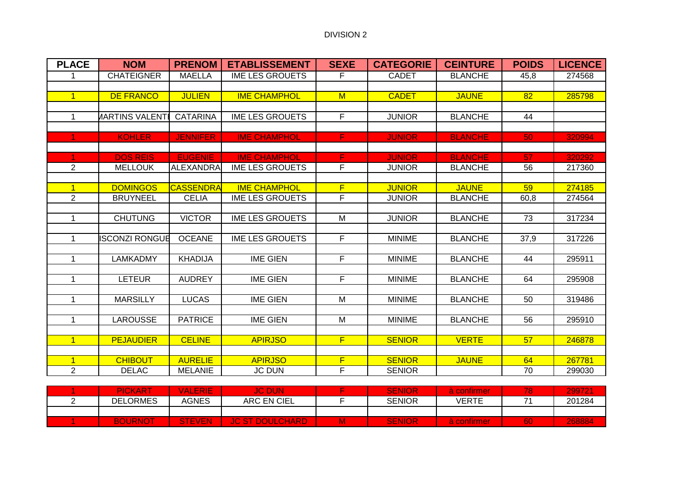| <b>PLACE</b>   | <b>NOM</b>            | <b>PRENOM</b>    | <b>ETABLISSEMENT</b>   | <b>SEXE</b>             | <b>CATEGORIE</b> | <b>CEINTURE</b> | <b>POIDS</b> | <b>LICENCE</b> |
|----------------|-----------------------|------------------|------------------------|-------------------------|------------------|-----------------|--------------|----------------|
|                | <b>CHATEIGNER</b>     | <b>MAELLA</b>    | <b>IME LES GROUETS</b> | F                       | <b>CADET</b>     | <b>BLANCHE</b>  | 45,8         | 274568         |
|                |                       |                  |                        |                         |                  |                 |              |                |
| $\overline{1}$ | <b>DE FRANCO</b>      | <b>JULIEN</b>    | <b>IME CHAMPHOL</b>    | M                       | <b>CADET</b>     | <b>JAUNE</b>    | 82           | 285798         |
|                |                       |                  |                        |                         |                  |                 |              |                |
| $\mathbf 1$    | <b>JARTINS VALENT</b> | <b>CATARINA</b>  | <b>IME LES GROUETS</b> | F                       | <b>JUNIOR</b>    | <b>BLANCHE</b>  | 44           |                |
|                |                       |                  |                        |                         |                  |                 |              |                |
| 1.             | <b>KOHLER</b>         | <b>JENNIFER</b>  | <b>IME CHAMPHOL</b>    | $\overline{F}$          | <b>JUNIOR</b>    | <b>BLANCHE</b>  | 50           | 320994         |
|                |                       |                  |                        |                         |                  |                 |              |                |
|                | <b>DOS REIS</b>       | <b>EUGENIE</b>   | <b>IME CHAMPHOL</b>    | F                       | <b>JUNIOR</b>    | <b>BLANCHE</b>  | 57           | 320292         |
| $\overline{2}$ | <b>MELLOUK</b>        | <b>ALEXANDRA</b> | <b>IME LES GROUETS</b> | F                       | <b>JUNIOR</b>    | <b>BLANCHE</b>  | 56           | 217360         |
|                |                       |                  |                        |                         |                  |                 |              |                |
| $\overline{1}$ | <b>DOMINGOS</b>       | <b>CASSENDRA</b> | <b>IME CHAMPHOL</b>    | F                       | <b>JUNIOR</b>    | <b>JAUNE</b>    | 59           | 274185         |
| $\overline{2}$ | <b>BRUYNEEL</b>       | <b>CELIA</b>     | <b>IME LES GROUETS</b> | F                       | <b>JUNIOR</b>    | <b>BLANCHE</b>  | 60,8         | 274564         |
|                |                       |                  |                        |                         |                  |                 |              |                |
| $\mathbf{1}$   | <b>CHUTUNG</b>        | <b>VICTOR</b>    | <b>IME LES GROUETS</b> | M                       | <b>JUNIOR</b>    | <b>BLANCHE</b>  | 73           | 317234         |
|                |                       |                  |                        |                         |                  |                 |              |                |
| $\mathbf{1}$   | <b>ISCONZI RONGUE</b> | <b>OCEANE</b>    | <b>IME LES GROUETS</b> | $\overline{F}$          | <b>MINIME</b>    | <b>BLANCHE</b>  | 37,9         | 317226         |
|                |                       |                  |                        |                         |                  |                 |              |                |
| $\mathbf 1$    | <b>LAMKADMY</b>       | <b>KHADIJA</b>   | <b>IME GIEN</b>        | F                       | <b>MINIME</b>    | <b>BLANCHE</b>  | 44           | 295911         |
|                |                       |                  |                        |                         |                  |                 |              |                |
| $\mathbf{1}$   | <b>LETEUR</b>         | <b>AUDREY</b>    | <b>IME GIEN</b>        | F                       | <b>MINIME</b>    | <b>BLANCHE</b>  | 64           | 295908         |
|                |                       |                  |                        |                         |                  |                 |              |                |
| $\mathbf{1}$   | <b>MARSILLY</b>       | <b>LUCAS</b>     | <b>IME GIEN</b>        | $\overline{\mathsf{M}}$ | <b>MINIME</b>    | <b>BLANCHE</b>  | 50           | 319486         |
|                |                       |                  |                        |                         |                  |                 |              |                |
| 1              | <b>LAROUSSE</b>       | <b>PATRICE</b>   | <b>IME GIEN</b>        | M                       | <b>MINIME</b>    | <b>BLANCHE</b>  | 56           | 295910         |
| $\overline{1}$ |                       |                  |                        | F                       |                  |                 |              |                |
|                | <b>PEJAUDIER</b>      | <b>CELINE</b>    | <b>APIRJSO</b>         |                         | <b>SENIOR</b>    | <b>VERTE</b>    | 57           | 246878         |
|                | <b>CHIBOUT</b>        | <b>AURELIE</b>   | <b>APIRJSO</b>         | F                       | <b>SENIOR</b>    | <b>JAUNE</b>    | 64           | 267781         |
| $\overline{2}$ | <b>DELAC</b>          | <b>MELANIE</b>   | <b>JC DUN</b>          | F                       | <b>SENIOR</b>    |                 | 70           | 299030         |
|                |                       |                  |                        |                         |                  |                 |              |                |

| <b>PICKART</b>  | VALERIE       | <b>JC DUN</b>                    |   | <b>SENIOR</b> |       |           | 299721 |
|-----------------|---------------|----------------------------------|---|---------------|-------|-----------|--------|
| <b>DELORMES</b> | <b>AGNES</b>  | ARC EN CIEL                      |   | <b>SENIOR</b> | VERTE | −.        | 201284 |
|                 |               |                                  |   |               |       |           |        |
| <b>BOURNOT</b>  | <b>STEVEN</b> | <b>JC ST</b><br><b>DOULCHARD</b> | M | <b>SENIOR</b> |       | <b>60</b> | 768884 |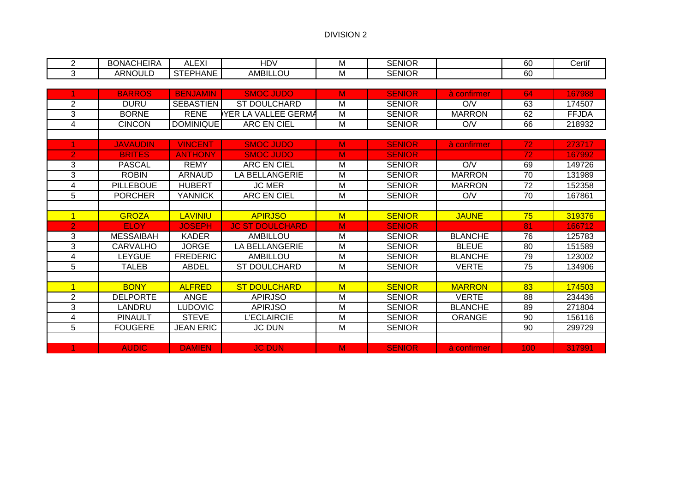| <b>BONACHEIRA</b> | FVI<br>$\mathbf{v}$<br>≃∧⊧<br>¬∟⊾ | HDV           | ΙVΙ | <b>SENIOR</b> | ~~<br>υυ | .<br>Certif |
|-------------------|-----------------------------------|---------------|-----|---------------|----------|-------------|
| ARNOULL           | <b>STEPHANE</b>                   | AMBIL.<br>LOU | ΙVΙ | <b>SENIOR</b> | ~~<br>Uu |             |

|                | <b>BARROS</b>    | <b>BENJAMIN</b>  | <b>SMOC JUDO</b>       | M | <b>SENIOR</b> | à confirmer    | 64 | 167988       |
|----------------|------------------|------------------|------------------------|---|---------------|----------------|----|--------------|
| 2              | <b>DURU</b>      | <b>SEBASTIEN</b> | ST DOULCHARD           | M | <b>SENIOR</b> | O/V            | 63 | 174507       |
| 3              | <b>BORNE</b>     | <b>RENE</b>      | YER LA VALLEE GERMA    | M | <b>SENIOR</b> | <b>MARRON</b>  | 62 | <b>FFJDA</b> |
| 4              | <b>CINCON</b>    | <b>DOMINIQUE</b> | ARC EN CIEL            | M | <b>SENIOR</b> | O/V            | 66 | 218932       |
|                |                  |                  |                        |   |               |                |    |              |
|                | <b>JAVAUDIN</b>  | <b>VINCENT</b>   | <b>SMOC JUDO</b>       | M | <b>SENIOR</b> | à confirmer    | 72 | 273717       |
| $\overline{2}$ | <b>BRITES</b>    | <b>ANTHONY</b>   | <b>SMOC JUDO</b>       | M | <b>SENIOR</b> |                | 72 | 167992       |
| 3              | <b>PASCAL</b>    | <b>REMY</b>      | <b>ARC EN CIEL</b>     | M | <b>SENIOR</b> | O/V            | 69 | 149726       |
| 3              | <b>ROBIN</b>     | <b>ARNAUD</b>    | <b>LA BELLANGERIE</b>  | м | <b>SENIOR</b> | <b>MARRON</b>  | 70 | 131989       |
| 4              | <b>PILLEBOUE</b> | <b>HUBERT</b>    | <b>JC MER</b>          | M | <b>SENIOR</b> | <b>MARRON</b>  | 72 | 152358       |
| 5              | <b>PORCHER</b>   | YANNICK          | <b>ARC EN CIEL</b>     | M | <b>SENIOR</b> | O/V            | 70 | 167861       |
|                |                  |                  |                        |   |               |                |    |              |
|                | <b>GROZA</b>     | <b>LAVINIU</b>   | <b>APIRJSO</b>         | M | <b>SENIOR</b> | <b>JAUNE</b>   | 75 | 319376       |
| $\overline{2}$ | <b>ELOY</b>      | <b>JOSEPH</b>    | <b>JC ST DOULCHARD</b> | M | <b>SENIOR</b> |                | 81 | 166712       |
| 3              | <b>MESSAIBAH</b> | <b>KADER</b>     | <b>AMBILLOU</b>        | M | <b>SENIOR</b> | <b>BLANCHE</b> | 76 | 125783       |
|                |                  |                  |                        |   |               |                |    |              |
| 3              | <b>CARVALHO</b>  | <b>JORGE</b>     | LA BELLANGERIE         | м | <b>SENIOR</b> | <b>BLEUE</b>   | 80 | 151589       |
| 4              | <b>LEYGUE</b>    | <b>FREDERIC</b>  | <b>AMBILLOU</b>        | м | <b>SENIOR</b> | <b>BLANCHE</b> | 79 | 123002       |
| 5              | <b>TALEB</b>     | ABDEL            | ST DOULCHARD           | M | <b>SENIOR</b> | <b>VERTE</b>   | 75 | 134906       |
|                |                  |                  |                        |   |               |                |    |              |
|                | <b>BONY</b>      | <b>ALFRED</b>    | <b>ST DOULCHARD</b>    | M | <b>SENIOR</b> | <b>MARRON</b>  | 83 | 174503       |
| 2              | <b>DELPORTE</b>  | <b>ANGE</b>      | <b>APIRJSO</b>         | M | <b>SENIOR</b> | <b>VERTE</b>   | 88 | 234436       |
| 3              | LANDRU           | <b>LUDOVIC</b>   | <b>APIRJSO</b>         | M | <b>SENIOR</b> | <b>BLANCHE</b> | 89 | 271804       |
| 4              | <b>PINAULT</b>   | <b>STEVE</b>     | L'ECLAIRCIE            | м | <b>SENIOR</b> | <b>ORANGE</b>  | 90 | 156116       |
| 5              | <b>FOUGERE</b>   | <b>JEAN ERIC</b> | <b>JC DUN</b>          | м | <b>SENIOR</b> |                | 90 | 299729       |
|                |                  |                  |                        |   |               |                |    |              |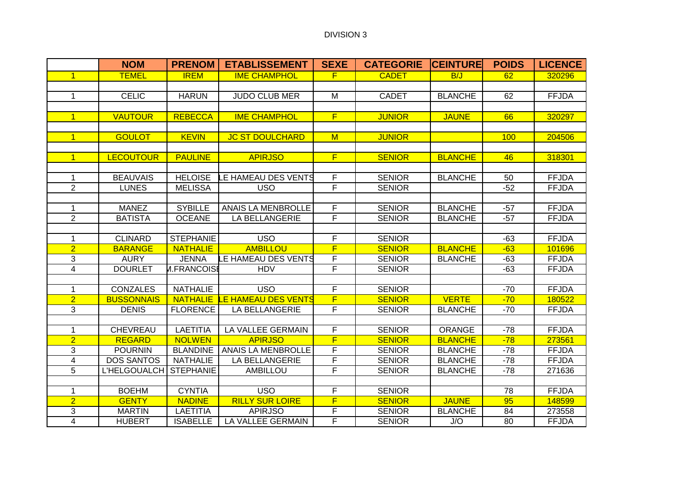|                         | <b>NOM</b>          | <b>PRENOM</b>      | <b>ETABLISSEMENT</b>       | <b>SEXE</b>             | <b>CATEGORIE</b> | <b>ICEINTURE</b> | <b>POIDS</b> | <b>LICENCE</b> |
|-------------------------|---------------------|--------------------|----------------------------|-------------------------|------------------|------------------|--------------|----------------|
| $\mathbf{1}$            | <b>TEMEL</b>        | <b>IREM</b>        | <b>IME CHAMPHOL</b>        | $\overline{F}$          | <b>CADET</b>     | B/J              | 62           | 320296         |
|                         |                     |                    |                            |                         |                  |                  |              |                |
| $\mathbf 1$             | <b>CELIC</b>        | <b>HARUN</b>       | <b>JUDO CLUB MER</b>       | M                       | <b>CADET</b>     | <b>BLANCHE</b>   | 62           | <b>FFJDA</b>   |
|                         |                     |                    |                            |                         |                  |                  |              |                |
| $\mathbf{1}$            | <b>VAUTOUR</b>      | <b>REBECCA</b>     | <b>IME CHAMPHOL</b>        | F                       | <b>JUNIOR</b>    | <b>JAUNE</b>     | 66           | 320297         |
|                         |                     |                    |                            |                         |                  |                  |              |                |
| $\overline{1}$          | <b>GOULOT</b>       | <b>KEVIN</b>       | <b>JC ST DOULCHARD</b>     | M                       | <b>JUNIOR</b>    |                  | 100          | 204506         |
|                         |                     |                    |                            |                         |                  |                  |              |                |
| $\mathbf{1}$            | <b>LECOUTOUR</b>    | <b>PAULINE</b>     | <b>APIRJSO</b>             | F                       | <b>SENIOR</b>    | <b>BLANCHE</b>   | 46           | 318301         |
|                         |                     |                    |                            |                         |                  |                  |              |                |
| 1                       | <b>BEAUVAIS</b>     | <b>HELOISE</b>     | LE HAMEAU DES VENTS        | F                       | <b>SENIOR</b>    | <b>BLANCHE</b>   | 50           | <b>FFJDA</b>   |
| $\overline{2}$          | <b>LUNES</b>        | <b>MELISSA</b>     | <b>USO</b>                 | F                       | <b>SENIOR</b>    |                  | $-52$        | <b>FFJDA</b>   |
|                         |                     |                    |                            |                         |                  |                  |              |                |
| 1                       | <b>MANEZ</b>        | <b>SYBILLE</b>     | <b>ANAIS LA MENBROLLE</b>  | F                       | <b>SENIOR</b>    | <b>BLANCHE</b>   | $-57$        | <b>FFJDA</b>   |
| $\overline{2}$          | <b>BATISTA</b>      | <b>OCEANE</b>      | <b>LA BELLANGERIE</b>      | F                       | <b>SENIOR</b>    | <b>BLANCHE</b>   | $-57$        | <b>FFJDA</b>   |
|                         |                     |                    |                            |                         |                  |                  |              |                |
| 1                       | <b>CLINARD</b>      | <b>STEPHANIE</b>   | <b>USO</b>                 | F                       | <b>SENIOR</b>    |                  | $-63$        | <b>FFJDA</b>   |
| $\overline{2}$          | <b>BARANGE</b>      | <b>NATHALIE</b>    | <b>AMBILLOU</b>            | $\overline{\mathsf{F}}$ | <b>SENIOR</b>    | <b>BLANCHE</b>   | $-63$        | 101696         |
| 3                       | <b>AURY</b>         | <b>JENNA</b>       | <b>LE HAMEAU DES VENTS</b> | F                       | <b>SENIOR</b>    | <b>BLANCHE</b>   | $-63$        | <b>FFJDA</b>   |
| $\overline{\mathbf{4}}$ | <b>DOURLET</b>      | <b>M.FRANCOISE</b> | <b>HDV</b>                 | F                       | <b>SENIOR</b>    |                  | $-63$        | <b>FFJDA</b>   |
|                         |                     |                    |                            |                         |                  |                  |              |                |
| 1                       | <b>CONZALES</b>     | <b>NATHALIE</b>    | USO                        | F                       | <b>SENIOR</b>    |                  | $-70$        | <b>FFJDA</b>   |
| $\overline{2}$          | <b>BUSSONNAIS</b>   | <b>NATHALIE</b>    | <b>LE HAMEAU DES VENTS</b> | F                       | <b>SENIOR</b>    | <b>VERTE</b>     | $-70$        | 180522         |
| 3                       | <b>DENIS</b>        | <b>FLORENCE</b>    | <b>LA BELLANGERIE</b>      | F                       | <b>SENIOR</b>    | <b>BLANCHE</b>   | $-70$        | <b>FFJDA</b>   |
|                         |                     |                    |                            |                         |                  |                  |              |                |
| 1                       | <b>CHEVREAU</b>     | <b>LAETITIA</b>    | LA VALLEE GERMAIN          | F                       | <b>SENIOR</b>    | <b>ORANGE</b>    | $-78$        | <b>FFJDA</b>   |
| $\overline{2}$          | <b>REGARD</b>       | <b>NOLWEN</b>      | <b>APIRJSO</b>             | $\overline{F}$          | <b>SENIOR</b>    | <b>BLANCHE</b>   | $-78$        | 273561         |
| $\overline{3}$          | <b>POURNIN</b>      | <b>BLANDINE</b>    | ANAIS LA MENBROLLE         | $\overline{F}$          | <b>SENIOR</b>    | <b>BLANCHE</b>   | $-78$        | <b>FFJDA</b>   |
| 4                       | <b>DOS SANTOS</b>   | <b>NATHALIE</b>    | <b>LA BELLANGERIE</b>      | F                       | <b>SENIOR</b>    | <b>BLANCHE</b>   | $-78$        | <b>FFJDA</b>   |
| 5                       | <b>L'HELGOUALCH</b> | <b>STEPHANIE</b>   | <b>AMBILLOU</b>            | F                       | <b>SENIOR</b>    | <b>BLANCHE</b>   | $-78$        | 271636         |
|                         |                     |                    |                            |                         |                  |                  |              |                |
| 1                       | <b>BOEHM</b>        | <b>CYNTIA</b>      | <b>USO</b>                 | F                       | <b>SENIOR</b>    |                  | 78           | <b>FFJDA</b>   |
| $\overline{2}$          | <b>GENTY</b>        | <b>NADINE</b>      | <b>RILLY SUR LOIRE</b>     | F                       | <b>SENIOR</b>    | <b>JAUNE</b>     | 95           | 148599         |
| 3                       | <b>MARTIN</b>       | <b>LAETITIA</b>    | <b>APIRJSO</b>             | F                       | <b>SENIOR</b>    | <b>BLANCHE</b>   | 84           | 273558         |
| $\overline{\mathbf{4}}$ | <b>HUBERT</b>       | <b>ISABELLE</b>    | LA VALLEE GERMAIN          | F                       | <b>SENIOR</b>    | J/O              | 80           | <b>FFJDA</b>   |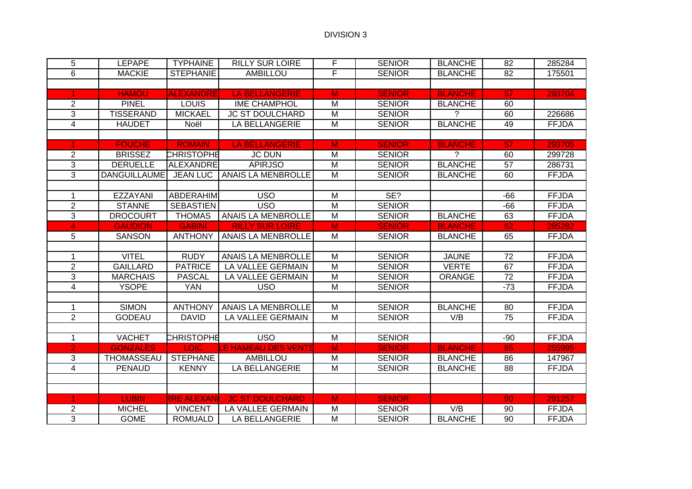| 5              | <b>LEPAPE</b>       | <b>TYPHAINE</b>   | <b>RILLY SUR LOIRE</b>   | F              | <b>SENIOR</b> | <b>BLANCHE</b> | $\overline{82}$ | 285284       |
|----------------|---------------------|-------------------|--------------------------|----------------|---------------|----------------|-----------------|--------------|
| $\overline{6}$ | <b>MACKIE</b>       | <b>STEPHANIE</b>  | <b>AMBILLOU</b>          | F              | <b>SENIOR</b> | <b>BLANCHE</b> | 82              | 175501       |
|                |                     |                   |                          |                |               |                |                 |              |
|                | <b>HAMOU</b>        | <b>ALEXANDRE</b>  | <b>LA BELLANGERIE</b>    | M              | <b>SENIOR</b> | <b>BLANCHE</b> | 57              | 293704       |
| $\overline{2}$ | <b>PINEL</b>        | <b>LOUIS</b>      | <b>IME CHAMPHOL</b>      | M              | <b>SENIOR</b> | <b>BLANCHE</b> | 60              |              |
| 3              | <b>TISSERAND</b>    | <b>MICKAEL</b>    | <b>JC ST DOULCHARD</b>   | M              | <b>SENIOR</b> | ?              | 60              | 226686       |
| $\overline{4}$ | <b>HAUDET</b>       | Noël              | LA BELLANGERIE           | M              | <b>SENIOR</b> | <b>BLANCHE</b> | 49              | <b>FFJDA</b> |
|                |                     |                   |                          |                |               |                |                 |              |
|                | <b>FOUCHE</b>       | <b>ROMAIN</b>     | <b>LA BELLANGERIE</b>    | M              | <b>SENIOR</b> | <b>BLANCHE</b> | 57              | 293705       |
| $\overline{2}$ | <b>BRISSEZ</b>      | <b>CHRISTOPHE</b> | <b>JC DUN</b>            | M              | <b>SENIOR</b> | $\mathcal{P}$  | 60              | 299728       |
| 3              | <b>DERUELLE</b>     | <b>ALEXANDRE</b>  | <b>APIRJSO</b>           | M              | <b>SENIOR</b> | <b>BLANCHE</b> | 57              | 286731       |
| 3              | <b>DANGUILLAUME</b> | <b>JEAN LUC</b>   | ANAIS LA MENBROLLE       | M              | <b>SENIOR</b> | <b>BLANCHE</b> | 60              | <b>FFJDA</b> |
|                |                     |                   |                          |                |               |                |                 |              |
| 1              | <b>EZZAYANI</b>     | <b>ABDERAHIM</b>  | <b>USO</b>               | M              | SE?           |                | $-66$           | <b>FFJDA</b> |
| $\overline{2}$ | <b>STANNE</b>       | <b>SEBASTIEN</b>  | <b>USO</b>               | M              | <b>SENIOR</b> |                | $-66$           | <b>FFJDA</b> |
| $\overline{3}$ | <b>DROCOURT</b>     | <b>THOMAS</b>     | ANAIS LA MENBROLLE       | M              | <b>SENIOR</b> | <b>BLANCHE</b> | 63              | <b>FFJDA</b> |
| 4              | <b>GAUDION</b>      | <b>GABINI</b>     | <b>RILLY SUR LOIRE</b>   | M              | <b>SENIOR</b> | <b>BLANCHE</b> | 62              | 285282       |
| 5              | <b>SANSON</b>       | <b>ANTHONY</b>    | ANAIS LA MENBROLLE       | M              | <b>SENIOR</b> | <b>BLANCHE</b> | 65              | <b>FFJDA</b> |
|                |                     |                   |                          |                |               |                |                 |              |
| 1              | <b>VITEL</b>        | <b>RUDY</b>       | ANAIS LA MENBROLLE       | M              | <b>SENIOR</b> | <b>JAUNE</b>   | 72              | <b>FFJDA</b> |
| $\overline{2}$ | <b>GAILLARD</b>     | <b>PATRICE</b>    | <b>LA VALLEE GERMAIN</b> | M              | <b>SENIOR</b> | <b>VERTE</b>   | 67              | <b>FFJDA</b> |
| 3              | <b>MARCHAIS</b>     | <b>PASCAL</b>     | LA VALLEE GERMAIN        | M              | <b>SENIOR</b> | <b>ORANGE</b>  | 72              | <b>FFJDA</b> |
| 4              | <b>YSOPE</b>        | <b>YAN</b>        | <b>USO</b>               | M              | <b>SENIOR</b> |                | $-73$           | <b>FFJDA</b> |
|                |                     |                   |                          |                |               |                |                 |              |
| $\mathbf 1$    | <b>SIMON</b>        | <b>ANTHONY</b>    | ANAIS LA MENBROLLE       | M              | <b>SENIOR</b> | <b>BLANCHE</b> | 80              | <b>FFJDA</b> |
| $\overline{2}$ | <b>GODEAU</b>       | <b>DAVID</b>      | LA VALLEE GERMAIN        | M              | <b>SENIOR</b> | V/B            | $\overline{75}$ | <b>FFJDA</b> |
|                |                     |                   |                          |                |               |                |                 |              |
| 1              | <b>VACHET</b>       | <b>CHRISTOPHE</b> | USO <sub></sub>          | $\overline{M}$ | <b>SENIOR</b> |                | $-90$           | <b>FFJDA</b> |
| $\overline{2}$ | <b>GONZALES</b>     | <b>LOIC</b>       | LE HAMEAU DES VENTS      | M              | <b>SENIOR</b> | <b>BLANCHE</b> | 85              | 255995       |
| 3              | THOMASSEAU          | <b>STEPHANE</b>   | <b>AMBILLOU</b>          | M              | <b>SENIOR</b> | <b>BLANCHE</b> | 86              | 147967       |
| $\overline{4}$ | <b>PENAUD</b>       | <b>KENNY</b>      | LA BELLANGERIE           | $\overline{M}$ | <b>SENIOR</b> | <b>BLANCHE</b> | $\overline{88}$ | <b>FFJDA</b> |
|                |                     |                   |                          |                |               |                |                 |              |
|                |                     |                   |                          |                |               |                |                 |              |
|                | <b>LUBIN</b>        | RRE ALEXANI       | <b>JC ST DOULCHARD</b>   | M              | <b>SENIOR</b> |                | 90              | 291257       |
| 2              | <b>MICHEL</b>       | <b>VINCENT</b>    | LA VALLEE GERMAIN        | M              | <b>SENIOR</b> | V/B            | 90              | <b>FFJDA</b> |
| 3              | <b>GOME</b>         | <b>ROMUALD</b>    | <b>LA BELLANGERIE</b>    | M              | <b>SENIOR</b> | <b>BLANCHE</b> | 90              | <b>FFJDA</b> |